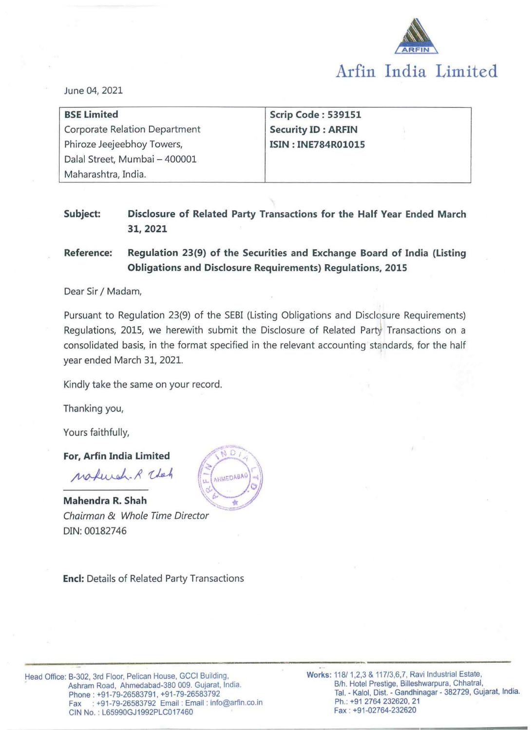

June 04, 2021

| <b>BSE Limited</b>                   | Scrip Code: 539151        |
|--------------------------------------|---------------------------|
| <b>Corporate Relation Department</b> | <b>Security ID: ARFIN</b> |
| Phiroze Jeejeebhoy Towers,           | <b>ISIN: INE784R01015</b> |
| Dalal Street, Mumbai - 400001        |                           |
| Maharashtra, India.                  |                           |

## **Subject: Disclosure of Related Party Transactions for the Half Year Ended March 31,2021**

## **Reference: Regulation 23(9) of the Securities and Exchange Board of India (Listing Obligations and Disclosure Requirements) Regulations, 2015**

#### Dear Sir / Madam,

Pursuant to Regulation 23(9) of the SEBI (Listing Obligations and Disclosure Requirements) Regulations, 2015, we herewith submit the Disclosure of Related Party Transactions on a consolidated basis, in the format specified in the relevant accounting standards, for the half year ended March 31, 2021.

Kindly take the same on your record.

Thanking you,

Yours faithfully,

**For, Arfin India Limited** 

wakingh. R That **Mahendra R. Shah** 

Chairman & Whole Time Director DIN: 00182746



**Encl:** Details of Related Party Transactions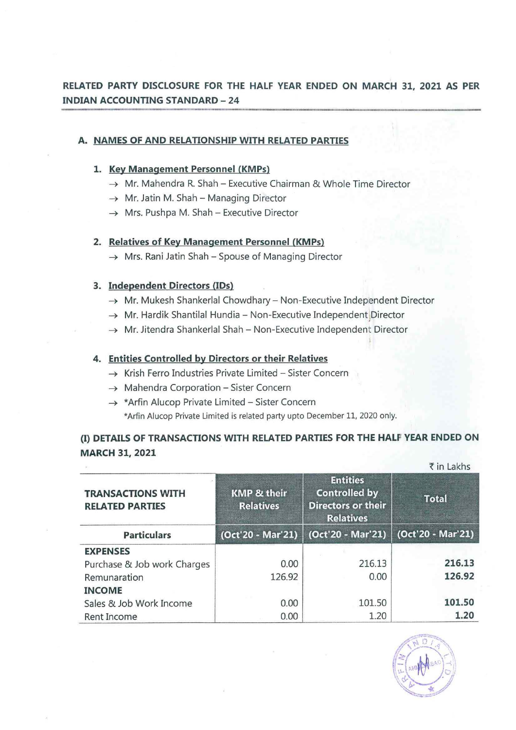# **RELATED PARTY DISCLOSURE FOR THE HALF YEAR ENDED ON MARCH 31, 2021 AS PER INDIAN ACCOUNTING STANDARD-24**

## **A. NAMES OF AND RELATIONSHIP WITH RELATED PARTIES**

#### **1. Key Management Personnel (KMPs)**

- $\rightarrow$  Mr. Mahendra R. Shah Executive Chairman & Whole Time Director
- $\rightarrow$  Mr. Jatin M. Shah Managing Director
- $\rightarrow$  Mrs. Pushpa M. Shah Executive Director

### 2. Relatives of Key Management Personnel (KMPs)

 $\rightarrow$  Mrs. Rani Jatin Shah - Spouse of Managing Director

## **3. Independent Directors** (IDs)

- $\rightarrow$  Mr. Mukesh Shankerlal Chowdhary Non-Executive Independent Director
- $\rightarrow$  Mr. Hardik Shantilal Hundia Non-Executive Independent Director
- $\rightarrow$  Mr. Jitendra Shankerlal Shah Non-Executive Independent Director

### **4. Entities Controlled by Directors or their Relatives**

- $\rightarrow$  Krish Ferro Industries Private Limited Sister Concern
- $\rightarrow$  Mahendra Corporation Sister Concern
- $\rightarrow$  \*Arfin Alucop Private Limited Sister Concern \*Arfin Alucop Private Limited is related party upto December 11, 2020 only.

# (I) **DETAILS OF TRANSACTIONS WITH RELATED PARTIES FOR THE HALF YEAR ENDED ON MARCH 31, 2021**

|                                                    | ₹ in Lakhs                                 |                                                                                          |                   |  |
|----------------------------------------------------|--------------------------------------------|------------------------------------------------------------------------------------------|-------------------|--|
| <b>TRANSACTIONS WITH</b><br><b>RELATED PARTIES</b> | <b>KMP &amp; their</b><br><b>Relatives</b> | <b>Entities</b><br><b>Controlled by</b><br><b>Directors or their</b><br><b>Relatives</b> | <b>Total</b>      |  |
| <b>Particulars</b>                                 | (Oct'20 - Mar'21)                          | (Oct'20 - Mar'21)                                                                        | (Oct'20 - Mar'21) |  |
| <b>EXPENSES</b>                                    |                                            |                                                                                          |                   |  |
| Purchase & Job work Charges                        | 0.00                                       | 216.13                                                                                   | 216.13            |  |
| Remunaration                                       | 126.92                                     | 0.00                                                                                     | 126.92            |  |
| <b>INCOME</b>                                      |                                            |                                                                                          |                   |  |
| Sales & Job Work Income                            | 0.00                                       | 101.50                                                                                   | 101.50            |  |
| Rent Income                                        | 0.00                                       | 1.20                                                                                     | 1.20              |  |

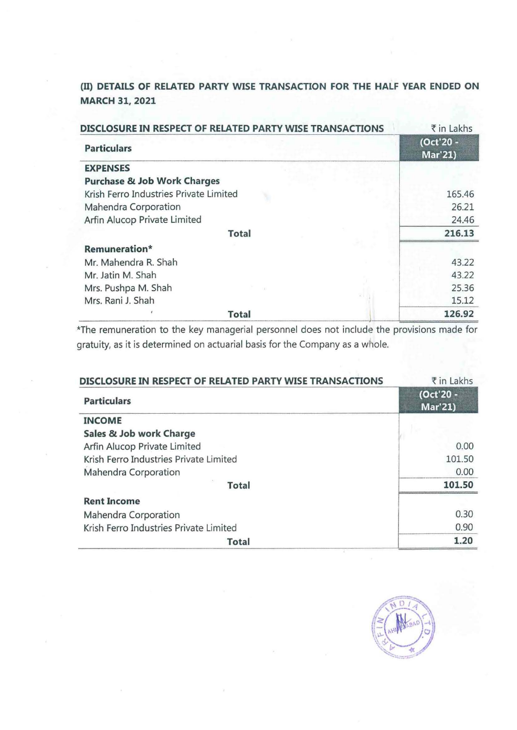# (II} **DETAILS OF RELATED PARTY WISE TRANSACTION FOR THE HALF YEAR ENDED ON MARCH 31, 2021**

|                                        | DISCLOSURE IN RESPECT OF RELATED PARTY WISE TRANSACTIONS | ₹ in Lakhs                  |
|----------------------------------------|----------------------------------------------------------|-----------------------------|
| <b>Particulars</b>                     |                                                          | (Oct'20 -<br><b>Mar'21)</b> |
| <b>EXPENSES</b>                        |                                                          |                             |
| <b>Purchase &amp; Job Work Charges</b> |                                                          |                             |
| Krish Ferro Industries Private Limited |                                                          | 165.46                      |
| Mahendra Corporation                   |                                                          | 26.21                       |
| Arfin Alucop Private Limited           |                                                          | 24.46                       |
|                                        | <b>Total</b>                                             | 216.13                      |
| Remuneration*                          |                                                          |                             |
| Mr. Mahendra R. Shah                   |                                                          | 43.22                       |
| Mr. Jatin M. Shah                      |                                                          | 43.22                       |
| Mrs. Pushpa M. Shah                    |                                                          | 25.36                       |
| Mrs. Rani J. Shah                      |                                                          | 15.12                       |
|                                        | <b>Total</b>                                             | 126.92                      |

\*The remuneration to the key managerial personnel does not include the provisions made for gratuity, as it is determined on actuarial basis for the Company as a whole.

| DISCLOSURE IN RESPECT OF RELATED PARTY WISE TRANSACTIONS | ₹ in Lakhs                  |
|----------------------------------------------------------|-----------------------------|
| <b>Particulars</b>                                       | (Oct'20 -<br><b>Mar'21)</b> |
| <b>INCOME</b>                                            |                             |
| Sales & Job work Charge                                  |                             |
| Arfin Alucop Private Limited                             | 0.00                        |
| Krish Ferro Industries Private Limited                   | 101.50                      |
| Mahendra Corporation                                     | 0.00                        |
| Total                                                    | 101.50                      |
| <b>Rent Income</b>                                       |                             |
| Mahendra Corporation                                     | 0.30                        |
| Krish Ferro Industries Private Limited                   | 0.90                        |
| <b>Total</b>                                             | 1.20                        |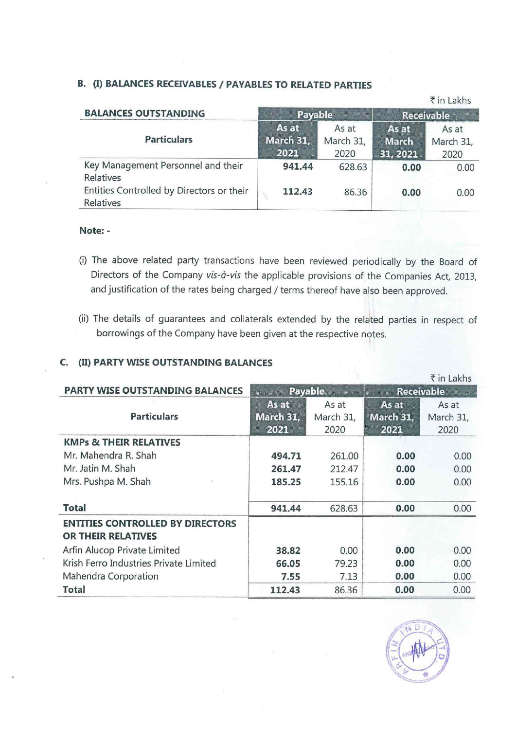### **B.** (I) **BALANCES RECEIVABLES I PAYABLES TO RELATED PARTIES**

|                                                        |                            |                            |                            | ₹ in Lakhs                 |
|--------------------------------------------------------|----------------------------|----------------------------|----------------------------|----------------------------|
| <b>BALANCES OUTSTANDING</b>                            | Payable                    |                            | <b>Receivable</b>          |                            |
| <b>Particulars</b>                                     | As at<br>March 31,<br>2021 | As at<br>March 31,<br>2020 | As at<br>March<br>31, 2021 | As at<br>March 31,<br>2020 |
| Key Management Personnel and their<br>Relatives        | 941.44                     | 628.63                     | 0.00                       | 0.00                       |
| Entities Controlled by Directors or their<br>Relatives | 112.43                     | 86.36                      | 0.00                       | 0.00                       |

#### **Note:** -

- (i) The above related party transactions have been reviewed periodically by the Board of Directors of the Company vis-à-vis the applicable provisions of the Companies Act, 2013, and justification of the rates being charged / terms thereof have also been approved.
- (ii) The details of guarantees and collaterals extended by the related parties in respect of borrowings of the Company have been given at the respective notes.

### **C.** (II) **PARTY WISE OUTSTANDING BALANCES**

|                                                                      |                                   |                            |                            | ₹ in Lakhs                 |
|----------------------------------------------------------------------|-----------------------------------|----------------------------|----------------------------|----------------------------|
| <b>PARTY WISE OUTSTANDING BALANCES</b>                               | Payable                           |                            | <b>Receivable</b>          |                            |
| <b>Particulars</b>                                                   | As at<br><b>March 31,</b><br>2021 | As at<br>March 31,<br>2020 | As at<br>March 31,<br>2021 | As at<br>March 31,<br>2020 |
| <b>KMPs &amp; THEIR RELATIVES</b>                                    |                                   |                            |                            |                            |
| Mr. Mahendra R. Shah                                                 | 494.71                            | 261.00                     | 0.00                       | 0.00                       |
| Mr. Jatin M. Shah                                                    | 261.47                            | 212.47                     | 0.00                       | 0.00                       |
| Mrs. Pushpa M. Shah                                                  | 185.25                            | 155.16                     | 0.00                       | 0.00                       |
| <b>Total</b>                                                         | 941.44                            | 628.63                     | 0.00                       | 0.00                       |
| <b>ENTITIES CONTROLLED BY DIRECTORS</b><br><b>OR THEIR RELATIVES</b> |                                   |                            |                            |                            |
| Arfin Alucop Private Limited                                         | 38.82                             | 0.00                       | 0.00                       | 0.00                       |
| Krish Ferro Industries Private Limited                               | 66.05                             | 79.23                      | 0.00                       | 0.00                       |
| Mahendra Corporation                                                 | 7.55                              | 7.13                       | 0.00                       | 0.00                       |
| <b>Total</b>                                                         | 112.43                            | 86.36                      | 0.00                       | 0.00                       |